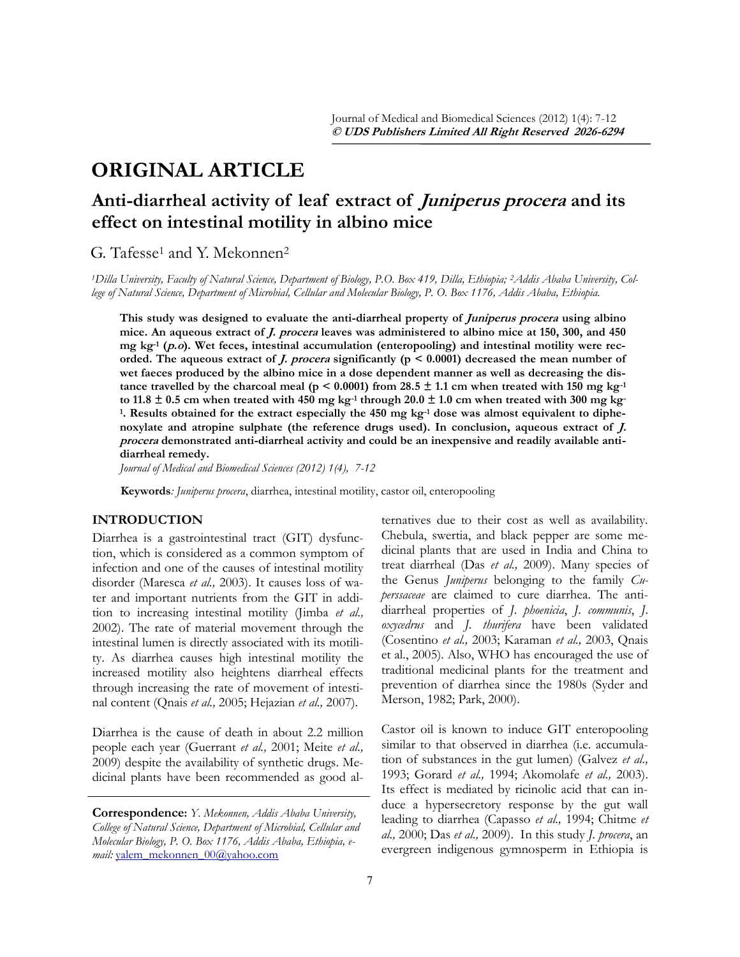# **ORIGINAL ARTICLE**

## **Anti-diarrheal activity of leaf extract of Juniperus procera and its effect on intestinal motility in albino mice**

## G. Tafesse<sup>1</sup> and Y. Mekonnen<sup>2</sup>

*1Dilla University, Faculty of Natural Science, Department of Biology, P.O. Box 419, Dilla, Ethiopia; 2Addis Ababa University, College of Natural Science, Department of Microbial, Cellular and Molecular Biology, P. O. Box 1176, Addis Ababa, Ethiopia.*

**This study was designed to evaluate the anti-diarrheal property of Juniperus procera using albino mice. An aqueous extract of J. procera leaves was administered to albino mice at 150, 300, and 450 mg kg-1 (p.o). Wet feces, intestinal accumulation (enteropooling) and intestinal motility were recorded. The aqueous extract of J. procera significantly (p < 0.0001) decreased the mean number of wet faeces produced by the albino mice in a dose dependent manner as well as decreasing the dis**tance travelled by the charcoal meal ( $p < 0.0001$ ) from 28.5  $\pm$  1.1 cm when treated with 150 mg kg<sup>-1</sup> to 11.8  $\pm$  0.5 cm when treated with 450 mg kg<sup>-1</sup> through 20.0  $\pm$  1.0 cm when treated with 300 mg kg<sup>-1</sup> **1 . Results obtained for the extract especially the 450 mg kg-1 dose was almost equivalent to diphenoxylate and atropine sulphate (the reference drugs used). In conclusion, aqueous extract of**  $\hat{L}$ **. procera demonstrated anti-diarrheal activity and could be an inexpensive and readily available antidiarrheal remedy.**

*Journal of Medical and Biomedical Sciences (2012) 1(4), 7-12*

**Keywords***: Juniperus procera*, diarrhea, intestinal motility, castor oil, enteropooling

## **INTRODUCTION**

Diarrhea is a gastrointestinal tract (GIT) dysfunction, which is considered as a common symptom of infection and one of the causes of intestinal motility disorder (Maresca *et al.,* 2003). It causes loss of water and important nutrients from the GIT in addition to increasing intestinal motility (Jimba *et al.,* 2002). The rate of material movement through the intestinal lumen is directly associated with its motility. As diarrhea causes high intestinal motility the increased motility also heightens diarrheal effects through increasing the rate of movement of intestinal content (Qnais *et al.,* 2005; Hejazian *et al.,* 2007).

Diarrhea is the cause of death in about 2.2 million people each year (Guerrant *et al.,* 2001; Meite *et al.,*  2009) despite the availability of synthetic drugs. Medicinal plants have been recommended as good al-

**Correspondence:** *Y. Mekonnen, Addis Ababa University, College of Natural Science, Department of Microbial, Cellular and Molecular Biology, P. O. Box 1176, Addis Ababa, Ethiopia, email:* [yalem\\_mekonnen\\_00@yahoo.com](mailto:yalem_mekonnen_00@yahoo.com)

ternatives due to their cost as well as availability. Chebula, swertia, and black pepper are some medicinal plants that are used in India and China to treat diarrheal (Das *et al.,* 2009). Many species of the Genus *Juniperus* belonging to the family *Cuperssaceae* are claimed to cure diarrhea. The antidiarrheal properties of *J. phoenicia*, *J. communis*, *J. oxycedrus* and *J. thurifera* have been validated (Cosentino *et al.,* 2003; Karaman *et al.,* 2003, Qnais et al., 2005). Also, WHO has encouraged the use of traditional medicinal plants for the treatment and prevention of diarrhea since the 1980s (Syder and Merson, 1982; Park, 2000).

Castor oil is known to induce GIT enteropooling similar to that observed in diarrhea (i.e. accumulation of substances in the gut lumen) (Galvez *et al.,* 1993; Gorard *et al.,* 1994; Akomolafe *et al.,* 2003). Its effect is mediated by ricinolic acid that can induce a hypersecretory response by the gut wall leading to diarrhea (Capasso *et al.,* 1994; Chitme *et al.,* 2000; Das *et al.,* 2009). In this study *J. procera*, an evergreen indigenous gymnosperm in Ethiopia is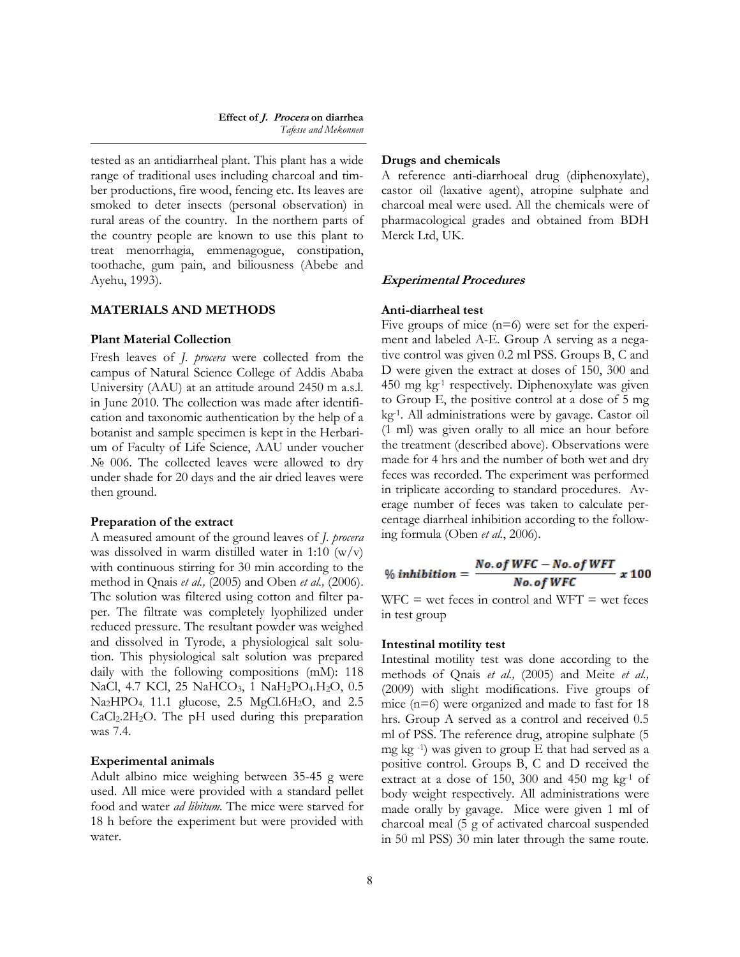tested as an antidiarrheal plant. This plant has a wide range of traditional uses including charcoal and timber productions, fire wood, fencing etc. Its leaves are smoked to deter insects (personal observation) in rural areas of the country. In the northern parts of the country people are known to use this plant to treat menorrhagia, emmenagogue, constipation, toothache, gum pain, and biliousness (Abebe and Ayehu, 1993).

## **MATERIALS AND METHODS**

## **Plant Material Collection**

Fresh leaves of *J. procera* were collected from the campus of Natural Science College of Addis Ababa University (AAU) at an attitude around 2450 m a.s.l. in June 2010. The collection was made after identification and taxonomic authentication by the help of a botanist and sample specimen is kept in the Herbarium of Faculty of Life Science, AAU under voucher No 006. The collected leaves were allowed to dry under shade for 20 days and the air dried leaves were then ground.

#### **Preparation of the extract**

A measured amount of the ground leaves of *J. procera* was dissolved in warm distilled water in 1:10  $(w/v)$ with continuous stirring for 30 min according to the method in Qnais *et al.,* (2005) and Oben *et al.,* (2006). The solution was filtered using cotton and filter paper. The filtrate was completely lyophilized under reduced pressure. The resultant powder was weighed and dissolved in Tyrode, a physiological salt solution. This physiological salt solution was prepared daily with the following compositions (mM): 118 NaCl, 4.7 KCl, 25 NaHCO<sub>3</sub>, 1 NaH<sub>2</sub>PO<sub>4</sub>.H<sub>2</sub>O, 0.5  $Na<sub>2</sub>HPO<sub>4</sub>$ , 11.1 glucose, 2.5 MgCl.6H<sub>2</sub>O, and 2.5  $CaCl<sub>2</sub>.2H<sub>2</sub>O$ . The pH used during this preparation was 7.4.

#### **Experimental animals**

Adult albino mice weighing between 35-45 g were used. All mice were provided with a standard pellet food and water *ad libitum.* The mice were starved for 18 h before the experiment but were provided with water.

#### **Drugs and chemicals**

A reference anti-diarrhoeal drug (diphenoxylate), castor oil (laxative agent), atropine sulphate and charcoal meal were used. All the chemicals were of pharmacological grades and obtained from BDH Merck Ltd, UK.

#### **Experimental Procedures**

## **Anti-diarrheal test**

Five groups of mice  $(n=6)$  were set for the experiment and labeled A-E. Group A serving as a negative control was given 0.2 ml PSS. Groups B, C and D were given the extract at doses of 150, 300 and 450 mg kg-1 respectively. Diphenoxylate was given to Group E, the positive control at a dose of 5 mg kg-1. All administrations were by gavage. Castor oil (1 ml) was given orally to all mice an hour before the treatment (described above). Observations were made for 4 hrs and the number of both wet and dry feces was recorded. The experiment was performed in triplicate according to standard procedures. Average number of feces was taken to calculate percentage diarrheal inhibition according to the following formula (Oben *et al.*, 2006).

$$
\% inhibition = \frac{No. of WFC - No. of WFT}{No. of WFC} \times 100
$$

 $WFC = wet feces in control and WFT = wet feces$ in test group

#### **Intestinal motility test**

Intestinal motility test was done according to the methods of Qnais *et al.,* (2005) and Meite *et al.,* (2009) with slight modifications. Five groups of mice (n=6) were organized and made to fast for 18 hrs. Group A served as a control and received 0.5 ml of PSS. The reference drug, atropine sulphate (5 mg kg $^{-1}$ ) was given to group E that had served as a positive control. Groups B, C and D received the extract at a dose of 150, 300 and 450 mg kg-1 of body weight respectively. All administrations were made orally by gavage. Mice were given 1 ml of charcoal meal (5 g of activated charcoal suspended in 50 ml PSS) 30 min later through the same route.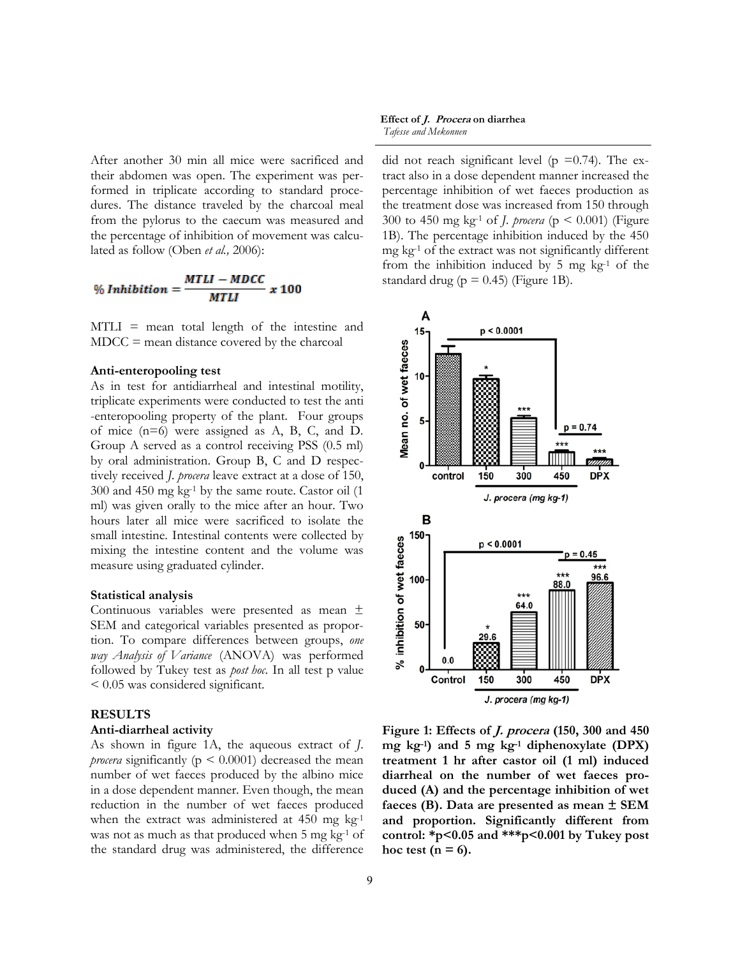After another 30 min all mice were sacrificed and their abdomen was open. The experiment was performed in triplicate according to standard procedures. The distance traveled by the charcoal meal from the pylorus to the caecum was measured and the percentage of inhibition of movement was calculated as follow (Oben *et al.,* 2006):

$$
\% Inhibition = \frac{MTLI - MDCC}{MTLI} \times 100
$$

MTLI = mean total length of the intestine and MDCC = mean distance covered by the charcoal

### **Anti-enteropooling test**

As in test for antidiarrheal and intestinal motility, triplicate experiments were conducted to test the anti -enteropooling property of the plant. Four groups of mice (n=6) were assigned as A, B, C, and D. Group A served as a control receiving PSS (0.5 ml) by oral administration. Group B, C and D respectively received *J. procera* leave extract at a dose of 150, 300 and 450 mg kg-1 by the same route. Castor oil (1 ml) was given orally to the mice after an hour. Two hours later all mice were sacrificed to isolate the small intestine. Intestinal contents were collected by mixing the intestine content and the volume was measure using graduated cylinder.

#### **Statistical analysis**

Continuous variables were presented as mean ± SEM and categorical variables presented as proportion. To compare differences between groups, *one way Analysis of Variance* (ANOVA) was performed followed by Tukey test as *post hoc*. In all test p value < 0.05 was considered significant.

#### **RESULTS**

### **Anti-diarrheal activity**

As shown in figure 1A, the aqueous extract of *J. procera* significantly ( $p < 0.0001$ ) decreased the mean number of wet faeces produced by the albino mice in a dose dependent manner. Even though, the mean reduction in the number of wet faeces produced when the extract was administered at  $450$  mg kg<sup>-1</sup> was not as much as that produced when 5 mg kg<sup>-1</sup> of the standard drug was administered, the difference

**Effect of J. Procera on diarrhea** *Tafesse and Mekonnen* 

did not reach significant level ( $p = 0.74$ ). The extract also in a dose dependent manner increased the percentage inhibition of wet faeces production as the treatment dose was increased from 150 through 300 to 450 mg kg-1 of *J. procera* (p < 0.001) (Figure 1B). The percentage inhibition induced by the 450 mg kg-1 of the extract was not significantly different from the inhibition induced by  $5 \text{ mg kg}^{-1}$  of the standard drug ( $p = 0.45$ ) (Figure 1B).



**Figure 1: Effects of J. procera (150, 300 and 450 mg kg-1) and 5 mg kg-1 diphenoxylate (DPX) treatment 1 hr after castor oil (1 ml) induced diarrheal on the number of wet faeces produced (A) and the percentage inhibition of wet faeces (B). Data are presented as mean ± SEM and proportion. Significantly different from control: \*p<0.05 and \*\*\*p<0.001 by Tukey post**  hoc test  $(n = 6)$ .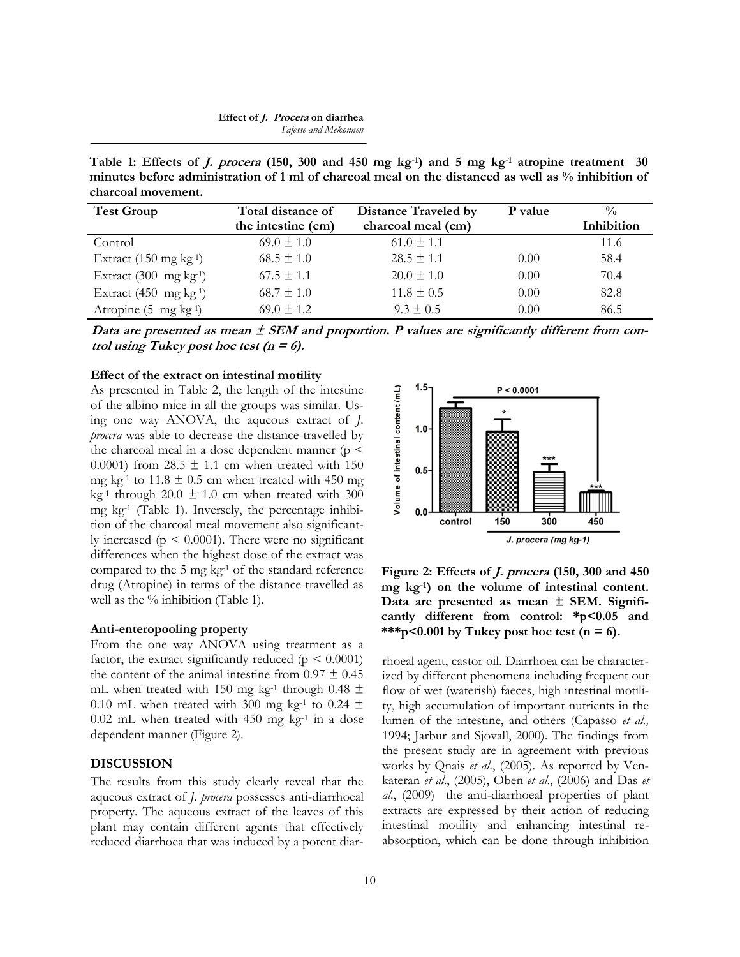#### **Effect of J. Procera on diarrhea** *Tafesse and Mekonnen*

**Table 1: Effects of J. procera (150, 300 and 450 mg kg-1) and 5 mg kg-1 atropine treatment 30 minutes before administration of 1 ml of charcoal meal on the distanced as well as % inhibition of charcoal movement.**

| <b>Test Group</b>                  | Total distance of  | <b>Distance Traveled by</b> | P value | $\frac{0}{0}$ |
|------------------------------------|--------------------|-----------------------------|---------|---------------|
|                                    | the intestine (cm) | charcoal meal (cm)          |         | Inhibition    |
| Control                            | $69.0 \pm 1.0$     | $61.0 \pm 1.1$              |         | 11.6          |
| Extract $(150 \text{ mg kg}^{-1})$ | $68.5 \pm 1.0$     | $28.5 \pm 1.1$              | 0.00    | 58.4          |
| Extract $(300 \text{ mg kg}^{-1})$ | $67.5 \pm 1.1$     | $20.0 \pm 1.0$              | 0.00    | 70.4          |
| Extract $(450 \text{ mg kg}^{-1})$ | $68.7 \pm 1.0$     | $11.8 \pm 0.5$              | 0.00    | 82.8          |
| Atropine $(5 \text{ mg kg}^{-1})$  | $69.0 \pm 1.2$     | $9.3 + 0.5$                 | 0.00    | 86.5          |

**Data are presented as mean ± SEM and proportion. P values are significantly different from con***trol using Tukey post hoc test*  $(n = 6)$ *.* 

#### **Effect of the extract on intestinal motility**

As presented in Table 2, the length of the intestine of the albino mice in all the groups was similar. Using one way ANOVA, the aqueous extract of *J. procera* was able to decrease the distance travelled by the charcoal meal in a dose dependent manner ( $p \leq$ 0.0001) from  $28.5 \pm 1.1$  cm when treated with 150 mg kg<sup>-1</sup> to 11.8  $\pm$  0.5 cm when treated with 450 mg kg<sup>-1</sup> through 20.0  $\pm$  1.0 cm when treated with 300 mg  $kg<sup>-1</sup>$  (Table 1). Inversely, the percentage inhibition of the charcoal meal movement also significantly increased ( $p \leq 0.0001$ ). There were no significant differences when the highest dose of the extract was compared to the  $5 \text{ mg kg}$ <sup>1</sup> of the standard reference drug (Atropine) in terms of the distance travelled as well as the % inhibition (Table 1).

## **Anti-enteropooling property**

From the one way ANOVA using treatment as a factor, the extract significantly reduced ( $p \leq 0.0001$ ) the content of the animal intestine from  $0.97 \pm 0.45$ mL when treated with 150 mg kg<sup>-1</sup> through 0.48  $\pm$ 0.10 mL when treated with 300 mg kg<sup>-1</sup> to 0.24  $\pm$  $0.02$  mL when treated with 450 mg kg<sup>-1</sup> in a dose dependent manner (Figure 2).

## **DISCUSSION**

The results from this study clearly reveal that the aqueous extract of *J. procera* possesses anti-diarrhoeal property. The aqueous extract of the leaves of this plant may contain different agents that effectively reduced diarrhoea that was induced by a potent diar-



**Figure 2: Effects of J. procera (150, 300 and 450 mg kg-1) on the volume of intestinal content. Data are presented as mean ± SEM. Significantly different from control: \*p<0.05 and**  \*\*\*p<0.001 by Tukey post hoc test  $(n = 6)$ .

rhoeal agent, castor oil. Diarrhoea can be characterized by different phenomena including frequent out flow of wet (waterish) faeces, high intestinal motility, high accumulation of important nutrients in the lumen of the intestine, and others (Capasso *et al.,* 1994; Jarbur and Sjovall, 2000). The findings from the present study are in agreement with previous works by Qnais *et al*., (2005). As reported by Venkateran *et al*., (2005), Oben *et al*., (2006) and Das *et al*., (2009) the anti-diarrhoeal properties of plant extracts are expressed by their action of reducing intestinal motility and enhancing intestinal reabsorption, which can be done through inhibition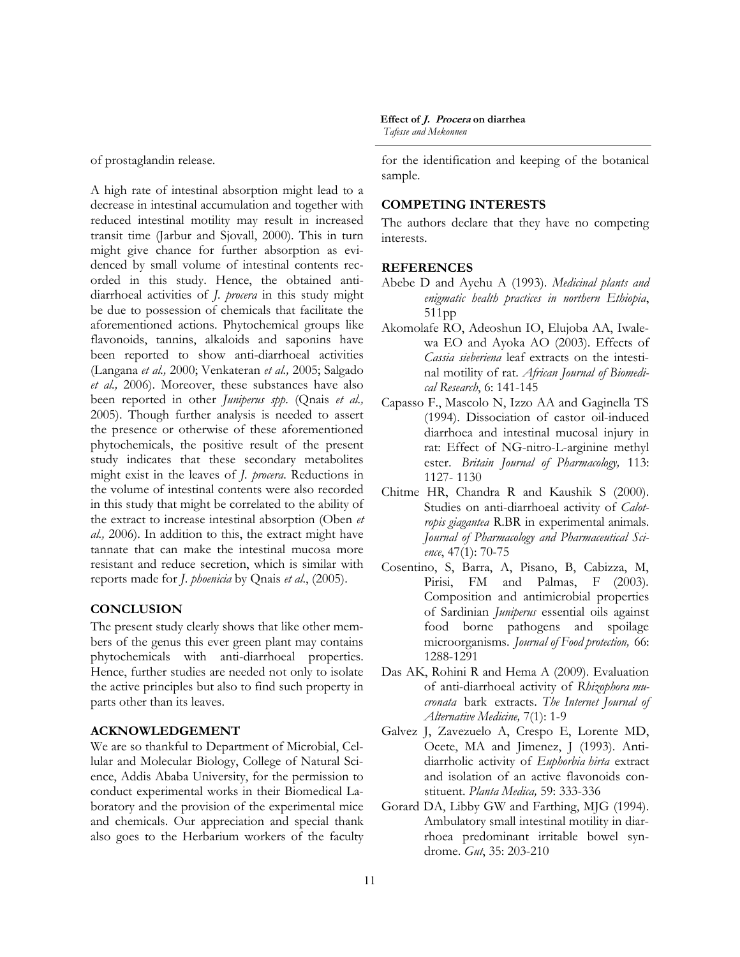of prostaglandin release.

A high rate of intestinal absorption might lead to a decrease in intestinal accumulation and together with reduced intestinal motility may result in increased transit time (Jarbur and Sjovall, 2000). This in turn might give chance for further absorption as evidenced by small volume of intestinal contents recorded in this study. Hence, the obtained antidiarrhoeal activities of *J. procera* in this study might be due to possession of chemicals that facilitate the aforementioned actions. Phytochemical groups like flavonoids, tannins, alkaloids and saponins have been reported to show anti-diarrhoeal activities (Langana *et al.,* 2000; Venkateran *et al.,* 2005; Salgado *et al.,* 2006). Moreover, these substances have also been reported in other *Juniperus spp*. (Qnais *et al.,* 2005). Though further analysis is needed to assert the presence or otherwise of these aforementioned phytochemicals, the positive result of the present study indicates that these secondary metabolites might exist in the leaves of *J. procera*. Reductions in the volume of intestinal contents were also recorded in this study that might be correlated to the ability of the extract to increase intestinal absorption (Oben *et al.,* 2006). In addition to this, the extract might have tannate that can make the intestinal mucosa more resistant and reduce secretion, which is similar with reports made for *J*. *phoenicia* by Qnais *et al*., (2005).

## **CONCLUSION**

The present study clearly shows that like other members of the genus this ever green plant may contains phytochemicals with anti-diarrhoeal properties. Hence, further studies are needed not only to isolate the active principles but also to find such property in parts other than its leaves.

## **ACKNOWLEDGEMENT**

We are so thankful to Department of Microbial, Cellular and Molecular Biology, College of Natural Science, Addis Ababa University, for the permission to conduct experimental works in their Biomedical Laboratory and the provision of the experimental mice and chemicals. Our appreciation and special thank also goes to the Herbarium workers of the faculty

## **Effect of J. Procera on diarrhea**

*Tafesse and Mekonnen* 

for the identification and keeping of the botanical sample.

## **COMPETING INTERESTS**

The authors declare that they have no competing interests.

#### **REFERENCES**

- Abebe D and Ayehu A (1993). *Medicinal plants and enigmatic health practices in northern Ethiopia*, 511pp
- Akomolafe RO, Adeoshun IO, Elujoba AA, Iwalewa EO and Ayoka AO (2003). Effects of *Cassia sieberiena* leaf extracts on the intestinal motility of rat. *African Journal of Biomedical Research*, 6: 141-145
- Capasso F., Mascolo N, Izzo AA and Gaginella TS (1994). Dissociation of castor oil-induced diarrhoea and intestinal mucosal injury in rat: Effect of NG-nitro-L-arginine methyl ester. *Britain Journal of Pharmacology,* 113: 1127- 1130
- Chitme HR, Chandra R and Kaushik S (2000). Studies on anti-diarrhoeal activity of *Calotropis giagantea* R.BR in experimental animals. *Journal of Pharmacology and Pharmaceutical Science*, 47(1): 70-75
- Cosentino, S, Barra, A, Pisano, B, Cabizza, M, Pirisi, FM and Palmas, F (2003)*.* Composition and antimicrobial properties of Sardinian *Juniperus* essential oils against food borne pathogens and spoilage microorganisms. *Journal of Food protection,* 66: 1288-1291
- Das AK, Rohini R and Hema A (2009). Evaluation of anti-diarrhoeal activity of *Rhizophora mucronata* bark extracts. *The Internet Journal of Alternative Medicine,* 7(1): 1-9
- Galvez J, Zavezuelo A, Crespo E, Lorente MD, Ocete, MA and Jimenez, J (1993). Antidiarrholic activity of *Euphorbia hirta* extract and isolation of an active flavonoids constituent. *Planta Medica,* 59: 333-336
- Gorard DA, Libby GW and Farthing, MJG (1994). Ambulatory small intestinal motility in diarrhoea predominant irritable bowel syndrome. *Gut*, 35: 203-210